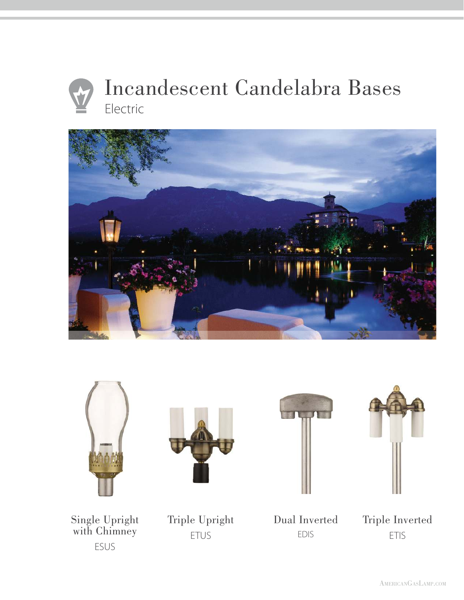











Single Upright with Chimney ESUS

Triple Upright ETUS

Dual Inverted EDIS

Triple Inverted ETIS